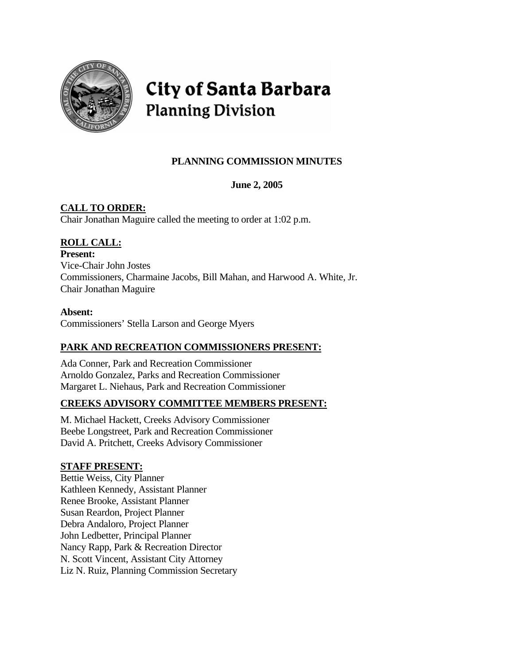

# **City of Santa Barbara Planning Division**

# **PLANNING COMMISSION MINUTES**

# **June 2, 2005**

# **CALL TO ORDER:**

Chair Jonathan Maguire called the meeting to order at 1:02 p.m.

# **ROLL CALL:**

**Present:** Vice-Chair John Jostes Commissioners, Charmaine Jacobs, Bill Mahan, and Harwood A. White, Jr. Chair Jonathan Maguire

# **Absent:**

Commissioners' Stella Larson and George Myers

# **PARK AND RECREATION COMMISSIONERS PRESENT:**

Ada Conner, Park and Recreation Commissioner Arnoldo Gonzalez, Parks and Recreation Commissioner Margaret L. Niehaus, Park and Recreation Commissioner

# **CREEKS ADVISORY COMMITTEE MEMBERS PRESENT:**

M. Michael Hackett, Creeks Advisory Commissioner Beebe Longstreet, Park and Recreation Commissioner David A. Pritchett, Creeks Advisory Commissioner

# **STAFF PRESENT:**

Bettie Weiss, City Planner Kathleen Kennedy, Assistant Planner Renee Brooke, Assistant Planner Susan Reardon, Project Planner Debra Andaloro, Project Planner John Ledbetter, Principal Planner Nancy Rapp, Park & Recreation Director N. Scott Vincent, Assistant City Attorney Liz N. Ruiz, Planning Commission Secretary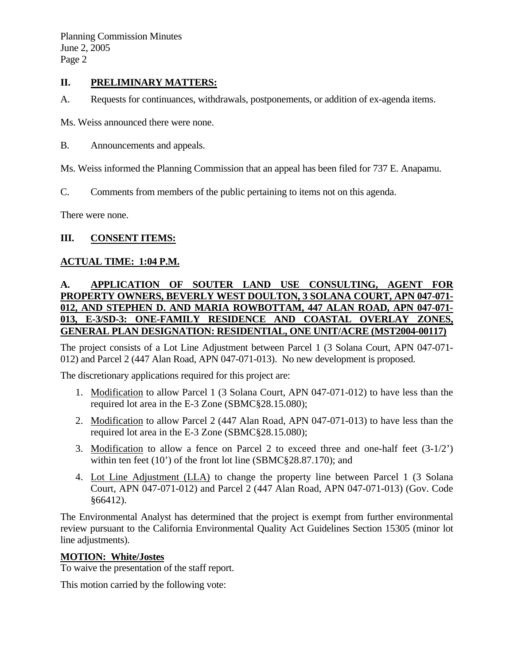# **II. PRELIMINARY MATTERS:**

A. Requests for continuances, withdrawals, postponements, or addition of ex-agenda items.

Ms. Weiss announced there were none.

B. Announcements and appeals.

Ms. Weiss informed the Planning Commission that an appeal has been filed for 737 E. Anapamu.

C. Comments from members of the public pertaining to items not on this agenda.

There were none.

### **III. CONSENT ITEMS:**

### **ACTUAL TIME: 1:04 P.M.**

# **A. APPLICATION OF SOUTER LAND USE CONSULTING, AGENT FOR PROPERTY OWNERS, BEVERLY WEST DOULTON, 3 SOLANA COURT, APN 047-071- 012, AND STEPHEN D. AND MARIA ROWBOTTAM, 447 ALAN ROAD, APN 047-071- 013, E-3/SD-3: ONE-FAMILY RESIDENCE AND COASTAL OVERLAY ZONES, GENERAL PLAN DESIGNATION: RESIDENTIAL, ONE UNIT/ACRE (MST2004-00117)**

The project consists of a Lot Line Adjustment between Parcel 1 (3 Solana Court, APN 047-071- 012) and Parcel 2 (447 Alan Road, APN 047-071-013). No new development is proposed.

The discretionary applications required for this project are:

- 1. Modification to allow Parcel 1 (3 Solana Court, APN 047-071-012) to have less than the required lot area in the E-3 Zone (SBMC§28.15.080);
- 2. Modification to allow Parcel 2 (447 Alan Road, APN 047-071-013) to have less than the required lot area in the E-3 Zone (SBMC§28.15.080);
- 3. Modification to allow a fence on Parcel 2 to exceed three and one-half feet (3-1/2') within ten feet (10') of the front lot line (SBMC§28.87.170); and
- 4. Lot Line Adjustment (LLA) to change the property line between Parcel 1 (3 Solana Court, APN 047-071-012) and Parcel 2 (447 Alan Road, APN 047-071-013) (Gov. Code §66412).

The Environmental Analyst has determined that the project is exempt from further environmental review pursuant to the California Environmental Quality Act Guidelines Section 15305 (minor lot line adjustments).

# **MOTION: White/Jostes**

To waive the presentation of the staff report.

This motion carried by the following vote: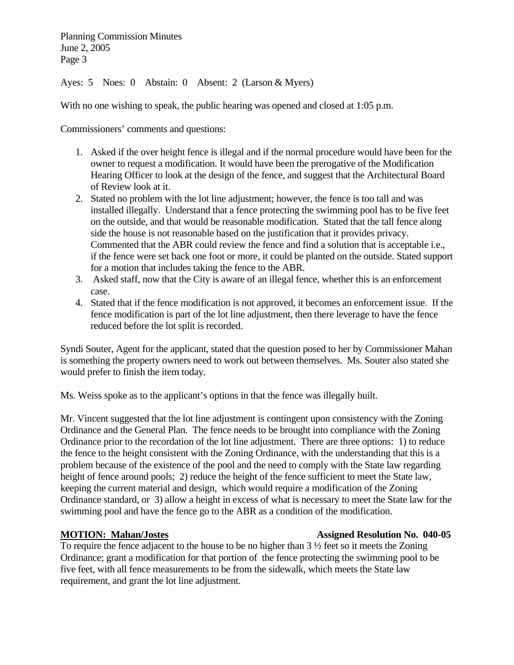Ayes: 5 Noes: 0 Abstain: 0 Absent: 2 (Larson & Myers)

With no one wishing to speak, the public hearing was opened and closed at 1:05 p.m.

Commissioners' comments and questions:

- 1. Asked if the over height fence is illegal and if the normal procedure would have been for the owner to request a modification. It would have been the prerogative of the Modification Hearing Officer to look at the design of the fence, and suggest that the Architectural Board of Review look at it.
- 2. Stated no problem with the lot line adjustment; however, the fence is too tall and was installed illegally. Understand that a fence protecting the swimming pool has to be five feet on the outside, and that would be reasonable modification. Stated that the tall fence along side the house is not reasonable based on the justification that it provides privacy. Commented that the ABR could review the fence and find a solution that is acceptable i.e., if the fence were set back one foot or more, it could be planted on the outside. Stated support for a motion that includes taking the fence to the ABR.
- 3. Asked staff, now that the City is aware of an illegal fence, whether this is an enforcement case.
- 4. Stated that if the fence modification is not approved, it becomes an enforcement issue. If the fence modification is part of the lot line adjustment, then there leverage to have the fence reduced before the lot split is recorded.

Syndi Souter, Agent for the applicant, stated that the question posed to her by Commissioner Mahan is something the property owners need to work out between themselves. Ms. Souter also stated she would prefer to finish the item today.

Ms. Weiss spoke as to the applicant's options in that the fence was illegally built.

Mr. Vincent suggested that the lot line adjustment is contingent upon consistency with the Zoning Ordinance and the General Plan. The fence needs to be brought into compliance with the Zoning Ordinance prior to the recordation of the lot line adjustment. There are three options: 1) to reduce the fence to the height consistent with the Zoning Ordinance, with the understanding that this is a problem because of the existence of the pool and the need to comply with the State law regarding height of fence around pools; 2) reduce the height of the fence sufficient to meet the State law, keeping the current material and design, which would require a modification of the Zoning Ordinance standard, or 3) allow a height in excess of what is necessary to meet the State law for the swimming pool and have the fence go to the ABR as a condition of the modification.

# **MOTION: Mahan/Jostes 1986 Assigned Resolution No. 040-05**

To require the fence adjacent to the house to be no higher than 3 ½ feet so it meets the Zoning Ordinance; grant a modification for that portion of the fence protecting the swimming pool to be five feet, with all fence measurements to be from the sidewalk, which meets the State law requirement, and grant the lot line adjustment.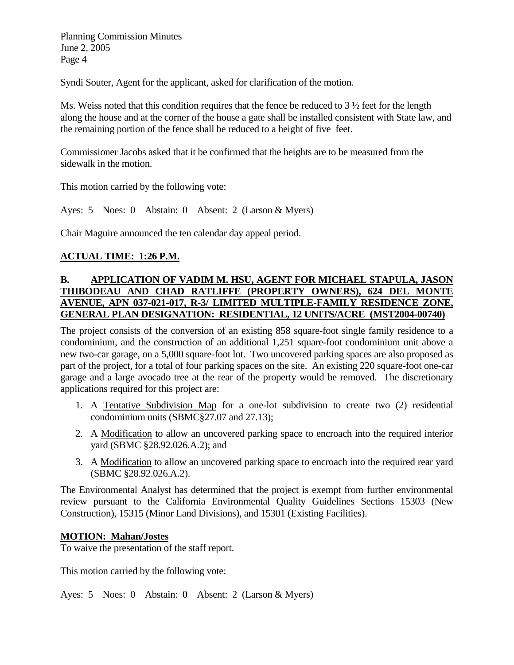Syndi Souter, Agent for the applicant, asked for clarification of the motion.

Ms. Weiss noted that this condition requires that the fence be reduced to  $3\frac{1}{2}$  feet for the length along the house and at the corner of the house a gate shall be installed consistent with State law, and the remaining portion of the fence shall be reduced to a height of five feet.

Commissioner Jacobs asked that it be confirmed that the heights are to be measured from the sidewalk in the motion.

This motion carried by the following vote:

Ayes: 5 Noes: 0 Abstain: 0 Absent: 2 (Larson & Myers)

Chair Maguire announced the ten calendar day appeal period.

# **ACTUAL TIME: 1:26 P.M.**

# **B. APPLICATION OF VADIM M. HSU, AGENT FOR MICHAEL STAPULA, JASON THIBODEAU AND CHAD RATLIFFE (PROPERTY OWNERS), 624 DEL MONTE AVENUE, APN 037-021-017, R-3/ LIMITED MULTIPLE-FAMILY RESIDENCE ZONE, GENERAL PLAN DESIGNATION: RESIDENTIAL, 12 UNITS/ACRE (MST2004-00740)**

The project consists of the conversion of an existing 858 square-foot single family residence to a condominium, and the construction of an additional 1,251 square-foot condominium unit above a new two-car garage, on a 5,000 square-foot lot. Two uncovered parking spaces are also proposed as part of the project, for a total of four parking spaces on the site. An existing 220 square-foot one-car garage and a large avocado tree at the rear of the property would be removed. The discretionary applications required for this project are:

- 1. A Tentative Subdivision Map for a one-lot subdivision to create two (2) residential condominium units (SBMC§27.07 and 27.13);
- 2. A Modification to allow an uncovered parking space to encroach into the required interior yard (SBMC §28.92.026.A.2); and
- 3. A Modification to allow an uncovered parking space to encroach into the required rear yard (SBMC §28.92.026.A.2).

The Environmental Analyst has determined that the project is exempt from further environmental review pursuant to the California Environmental Quality Guidelines Sections 15303 (New Construction), 15315 (Minor Land Divisions), and 15301 (Existing Facilities).

### **MOTION: Mahan/Jostes**

To waive the presentation of the staff report.

This motion carried by the following vote:

Ayes: 5 Noes: 0 Abstain: 0 Absent: 2 (Larson & Myers)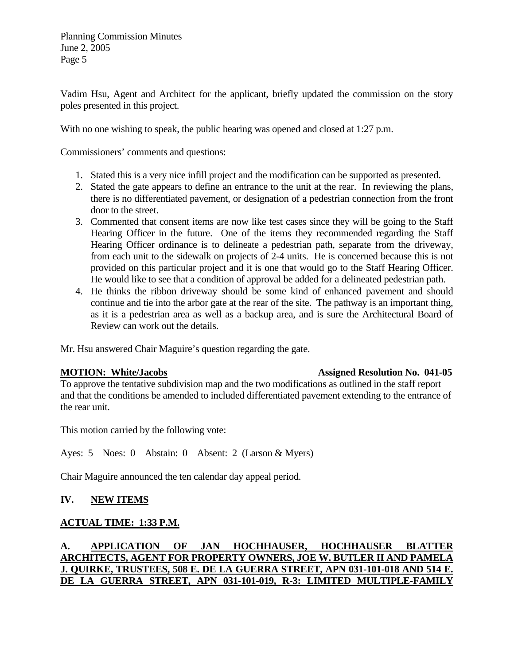Vadim Hsu, Agent and Architect for the applicant, briefly updated the commission on the story poles presented in this project.

With no one wishing to speak, the public hearing was opened and closed at 1:27 p.m.

Commissioners' comments and questions:

- 1. Stated this is a very nice infill project and the modification can be supported as presented.
- 2. Stated the gate appears to define an entrance to the unit at the rear. In reviewing the plans, there is no differentiated pavement, or designation of a pedestrian connection from the front door to the street.
- 3. Commented that consent items are now like test cases since they will be going to the Staff Hearing Officer in the future. One of the items they recommended regarding the Staff Hearing Officer ordinance is to delineate a pedestrian path, separate from the driveway, from each unit to the sidewalk on projects of 2-4 units. He is concerned because this is not provided on this particular project and it is one that would go to the Staff Hearing Officer. He would like to see that a condition of approval be added for a delineated pedestrian path.
- 4. He thinks the ribbon driveway should be some kind of enhanced pavement and should continue and tie into the arbor gate at the rear of the site. The pathway is an important thing, as it is a pedestrian area as well as a backup area, and is sure the Architectural Board of Review can work out the details.

Mr. Hsu answered Chair Maguire's question regarding the gate.

### **MOTION: White/Jacobs Assigned Resolution No. 041-05**

To approve the tentative subdivision map and the two modifications as outlined in the staff report and that the conditions be amended to included differentiated pavement extending to the entrance of the rear unit.

This motion carried by the following vote:

Ayes: 5 Noes: 0 Abstain: 0 Absent: 2 (Larson & Myers)

Chair Maguire announced the ten calendar day appeal period.

# **IV. NEW ITEMS**

# **ACTUAL TIME: 1:33 P.M.**

# **A. APPLICATION OF JAN HOCHHAUSER, HOCHHAUSER BLATTER ARCHITECTS, AGENT FOR PROPERTY OWNERS, JOE W. BUTLER II AND PAMELA J. QUIRKE, TRUSTEES, 508 E. DE LA GUERRA STREET, APN 031-101-018 AND 514 E. DE LA GUERRA STREET, APN 031-101-019, R-3: LIMITED MULTIPLE-FAMILY**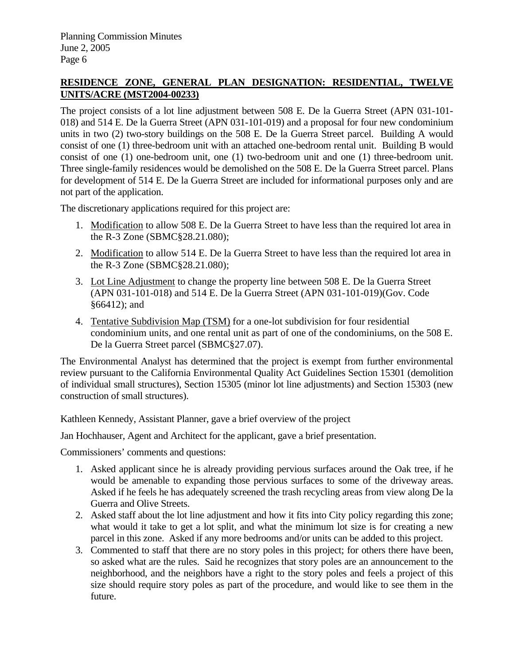# **RESIDENCE ZONE, GENERAL PLAN DESIGNATION: RESIDENTIAL, TWELVE UNITS/ACRE (MST2004-00233)**

The project consists of a lot line adjustment between 508 E. De la Guerra Street (APN 031-101- 018) and 514 E. De la Guerra Street (APN 031-101-019) and a proposal for four new condominium units in two (2) two-story buildings on the 508 E. De la Guerra Street parcel. Building A would consist of one (1) three-bedroom unit with an attached one-bedroom rental unit. Building B would consist of one (1) one-bedroom unit, one (1) two-bedroom unit and one (1) three-bedroom unit. Three single-family residences would be demolished on the 508 E. De la Guerra Street parcel. Plans for development of 514 E. De la Guerra Street are included for informational purposes only and are not part of the application.

The discretionary applications required for this project are:

- 1. Modification to allow 508 E. De la Guerra Street to have less than the required lot area in the R-3 Zone (SBMC§28.21.080);
- 2. Modification to allow 514 E. De la Guerra Street to have less than the required lot area in the R-3 Zone (SBMC§28.21.080);
- 3. Lot Line Adjustment to change the property line between 508 E. De la Guerra Street (APN 031-101-018) and 514 E. De la Guerra Street (APN 031-101-019)(Gov. Code §66412); and
- 4. Tentative Subdivision Map (TSM) for a one-lot subdivision for four residential condominium units, and one rental unit as part of one of the condominiums, on the 508 E. De la Guerra Street parcel (SBMC§27.07).

The Environmental Analyst has determined that the project is exempt from further environmental review pursuant to the California Environmental Quality Act Guidelines Section 15301 (demolition of individual small structures), Section 15305 (minor lot line adjustments) and Section 15303 (new construction of small structures).

Kathleen Kennedy, Assistant Planner, gave a brief overview of the project

Jan Hochhauser, Agent and Architect for the applicant, gave a brief presentation.

Commissioners' comments and questions:

- 1. Asked applicant since he is already providing pervious surfaces around the Oak tree, if he would be amenable to expanding those pervious surfaces to some of the driveway areas. Asked if he feels he has adequately screened the trash recycling areas from view along De la Guerra and Olive Streets.
- 2. Asked staff about the lot line adjustment and how it fits into City policy regarding this zone; what would it take to get a lot split, and what the minimum lot size is for creating a new parcel in this zone. Asked if any more bedrooms and/or units can be added to this project.
- 3. Commented to staff that there are no story poles in this project; for others there have been, so asked what are the rules. Said he recognizes that story poles are an announcement to the neighborhood, and the neighbors have a right to the story poles and feels a project of this size should require story poles as part of the procedure, and would like to see them in the future.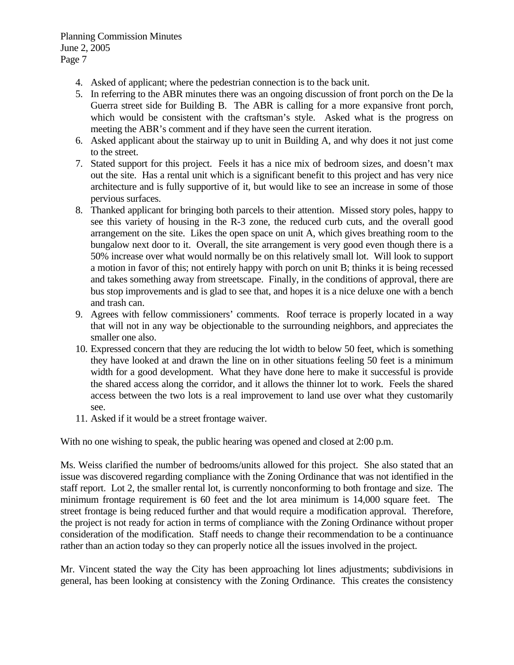- 4. Asked of applicant; where the pedestrian connection is to the back unit.
- 5. In referring to the ABR minutes there was an ongoing discussion of front porch on the De la Guerra street side for Building B. The ABR is calling for a more expansive front porch, which would be consistent with the craftsman's style. Asked what is the progress on meeting the ABR's comment and if they have seen the current iteration.
- 6. Asked applicant about the stairway up to unit in Building A, and why does it not just come to the street.
- 7. Stated support for this project. Feels it has a nice mix of bedroom sizes, and doesn't max out the site. Has a rental unit which is a significant benefit to this project and has very nice architecture and is fully supportive of it, but would like to see an increase in some of those pervious surfaces.
- 8. Thanked applicant for bringing both parcels to their attention. Missed story poles, happy to see this variety of housing in the R-3 zone, the reduced curb cuts, and the overall good arrangement on the site. Likes the open space on unit A, which gives breathing room to the bungalow next door to it. Overall, the site arrangement is very good even though there is a 50% increase over what would normally be on this relatively small lot. Will look to support a motion in favor of this; not entirely happy with porch on unit B; thinks it is being recessed and takes something away from streetscape. Finally, in the conditions of approval, there are bus stop improvements and is glad to see that, and hopes it is a nice deluxe one with a bench and trash can.
- 9. Agrees with fellow commissioners' comments. Roof terrace is properly located in a way that will not in any way be objectionable to the surrounding neighbors, and appreciates the smaller one also.
- 10. Expressed concern that they are reducing the lot width to below 50 feet, which is something they have looked at and drawn the line on in other situations feeling 50 feet is a minimum width for a good development. What they have done here to make it successful is provide the shared access along the corridor, and it allows the thinner lot to work. Feels the shared access between the two lots is a real improvement to land use over what they customarily see.
- 11. Asked if it would be a street frontage waiver.

With no one wishing to speak, the public hearing was opened and closed at 2:00 p.m.

Ms. Weiss clarified the number of bedrooms/units allowed for this project. She also stated that an issue was discovered regarding compliance with the Zoning Ordinance that was not identified in the staff report. Lot 2, the smaller rental lot, is currently nonconforming to both frontage and size. The minimum frontage requirement is 60 feet and the lot area minimum is 14,000 square feet. The street frontage is being reduced further and that would require a modification approval. Therefore, the project is not ready for action in terms of compliance with the Zoning Ordinance without proper consideration of the modification. Staff needs to change their recommendation to be a continuance rather than an action today so they can properly notice all the issues involved in the project.

Mr. Vincent stated the way the City has been approaching lot lines adjustments; subdivisions in general, has been looking at consistency with the Zoning Ordinance. This creates the consistency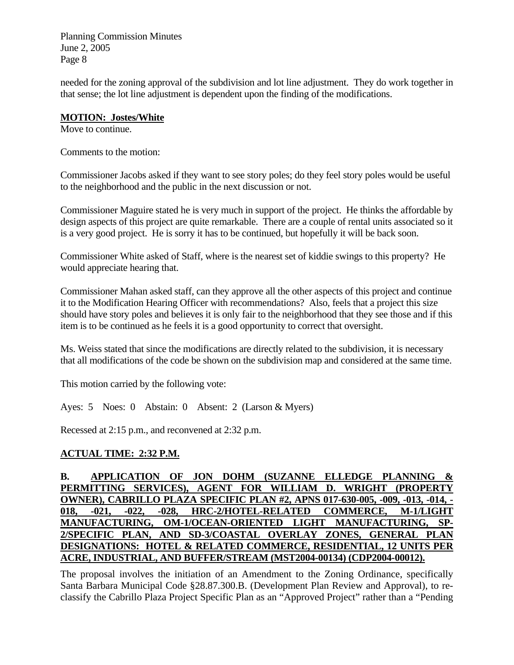needed for the zoning approval of the subdivision and lot line adjustment. They do work together in that sense; the lot line adjustment is dependent upon the finding of the modifications.

### **MOTION: Jostes/White**

Move to continue.

Comments to the motion:

Commissioner Jacobs asked if they want to see story poles; do they feel story poles would be useful to the neighborhood and the public in the next discussion or not.

Commissioner Maguire stated he is very much in support of the project. He thinks the affordable by design aspects of this project are quite remarkable. There are a couple of rental units associated so it is a very good project. He is sorry it has to be continued, but hopefully it will be back soon.

Commissioner White asked of Staff, where is the nearest set of kiddie swings to this property? He would appreciate hearing that.

Commissioner Mahan asked staff, can they approve all the other aspects of this project and continue it to the Modification Hearing Officer with recommendations? Also, feels that a project this size should have story poles and believes it is only fair to the neighborhood that they see those and if this item is to be continued as he feels it is a good opportunity to correct that oversight.

Ms. Weiss stated that since the modifications are directly related to the subdivision, it is necessary that all modifications of the code be shown on the subdivision map and considered at the same time.

This motion carried by the following vote:

Ayes: 5 Noes: 0 Abstain: 0 Absent: 2 (Larson & Myers)

Recessed at 2:15 p.m., and reconvened at 2:32 p.m.

# **ACTUAL TIME: 2:32 P.M.**

**B.** APPLICATION OF JON DOHM (SUZANNE ELLEDGE PLANNING **PERMITTING SERVICES), AGENT FOR WILLIAM D. WRIGHT (PROPERTY OWNER), CABRILLO PLAZA SPECIFIC PLAN #2, APNS 017-630-005, -009, -013, -014, - 018, -021, -022, -028, HRC-2/HOTEL-RELATED COMMERCE, M-1/LIGHT MANUFACTURING, OM-1/OCEAN-ORIENTED LIGHT MANUFACTURING, SP-2/SPECIFIC PLAN, AND SD-3/COASTAL OVERLAY ZONES, GENERAL PLAN DESIGNATIONS: HOTEL & RELATED COMMERCE, RESIDENTIAL, 12 UNITS PER ACRE, INDUSTRIAL, AND BUFFER/STREAM (MST2004-00134) (CDP2004-00012).**

The proposal involves the initiation of an Amendment to the Zoning Ordinance, specifically Santa Barbara Municipal Code §28.87.300.B. (Development Plan Review and Approval), to reclassify the Cabrillo Plaza Project Specific Plan as an "Approved Project" rather than a "Pending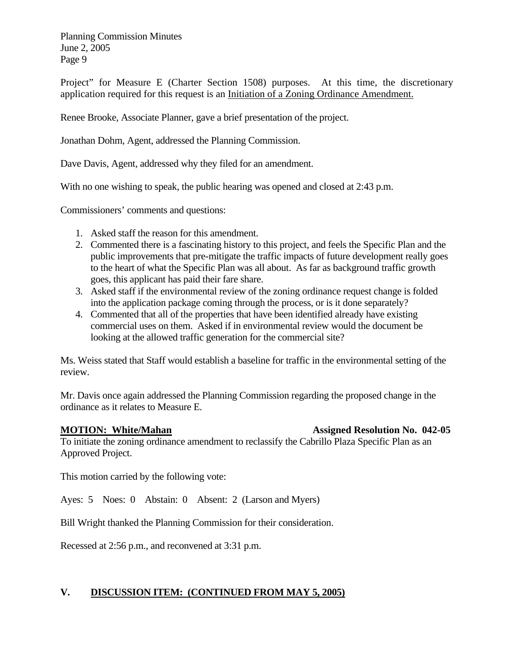Project" for Measure E (Charter Section 1508) purposes. At this time, the discretionary application required for this request is an Initiation of a Zoning Ordinance Amendment.

Renee Brooke, Associate Planner, gave a brief presentation of the project.

Jonathan Dohm, Agent, addressed the Planning Commission.

Dave Davis, Agent, addressed why they filed for an amendment.

With no one wishing to speak, the public hearing was opened and closed at 2:43 p.m.

Commissioners' comments and questions:

- 1. Asked staff the reason for this amendment.
- 2. Commented there is a fascinating history to this project, and feels the Specific Plan and the public improvements that pre-mitigate the traffic impacts of future development really goes to the heart of what the Specific Plan was all about. As far as background traffic growth goes, this applicant has paid their fare share.
- 3. Asked staff if the environmental review of the zoning ordinance request change is folded into the application package coming through the process, or is it done separately?
- 4. Commented that all of the properties that have been identified already have existing commercial uses on them. Asked if in environmental review would the document be looking at the allowed traffic generation for the commercial site?

Ms. Weiss stated that Staff would establish a baseline for traffic in the environmental setting of the review.

Mr. Davis once again addressed the Planning Commission regarding the proposed change in the ordinance as it relates to Measure E.

**MOTION: White/Mahan Assigned Resolution No. 042-05** 

To initiate the zoning ordinance amendment to reclassify the Cabrillo Plaza Specific Plan as an Approved Project.

This motion carried by the following vote:

Ayes: 5 Noes: 0 Abstain: 0 Absent: 2 (Larson and Myers)

Bill Wright thanked the Planning Commission for their consideration.

Recessed at 2:56 p.m., and reconvened at 3:31 p.m.

### **V. DISCUSSION ITEM: (CONTINUED FROM MAY 5, 2005)**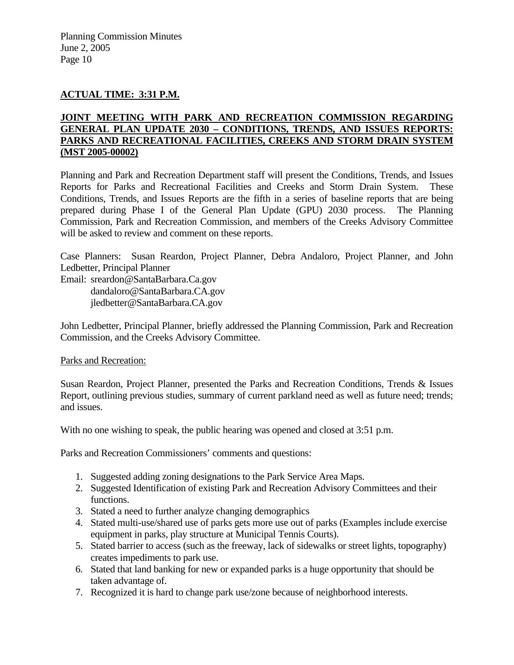# **ACTUAL TIME: 3:31 P.M.**

### **JOINT MEETING WITH PARK AND RECREATION COMMISSION REGARDING GENERAL PLAN UPDATE 2030 – CONDITIONS, TRENDS, AND ISSUES REPORTS: PARKS AND RECREATIONAL FACILITIES, CREEKS AND STORM DRAIN SYSTEM (MST 2005-00002)**

Planning and Park and Recreation Department staff will present the Conditions, Trends, and Issues Reports for Parks and Recreational Facilities and Creeks and Storm Drain System. These Conditions, Trends, and Issues Reports are the fifth in a series of baseline reports that are being prepared during Phase I of the General Plan Update (GPU) 2030 process. The Planning Commission, Park and Recreation Commission, and members of the Creeks Advisory Committee will be asked to review and comment on these reports.

Case Planners: Susan Reardon, Project Planner, Debra Andaloro, Project Planner, and John Ledbetter, Principal Planner

Email: sreardon@SantaBarbara.Ca.gov

dandaloro@SantaBarbara.CA.gov

jledbetter@SantaBarbara.CA.gov

John Ledbetter, Principal Planner, briefly addressed the Planning Commission, Park and Recreation Commission, and the Creeks Advisory Committee.

### Parks and Recreation:

Susan Reardon, Project Planner, presented the Parks and Recreation Conditions, Trends & Issues Report, outlining previous studies, summary of current parkland need as well as future need; trends; and issues.

With no one wishing to speak, the public hearing was opened and closed at 3:51 p.m.

Parks and Recreation Commissioners' comments and questions:

- 1. Suggested adding zoning designations to the Park Service Area Maps.
- 2. Suggested Identification of existing Park and Recreation Advisory Committees and their functions.
- 3. Stated a need to further analyze changing demographics
- 4. Stated multi-use/shared use of parks gets more use out of parks (Examples include exercise equipment in parks, play structure at Municipal Tennis Courts).
- 5. Stated barrier to access (such as the freeway, lack of sidewalks or street lights, topography) creates impediments to park use.
- 6. Stated that land banking for new or expanded parks is a huge opportunity that should be taken advantage of.
- 7. Recognized it is hard to change park use/zone because of neighborhood interests.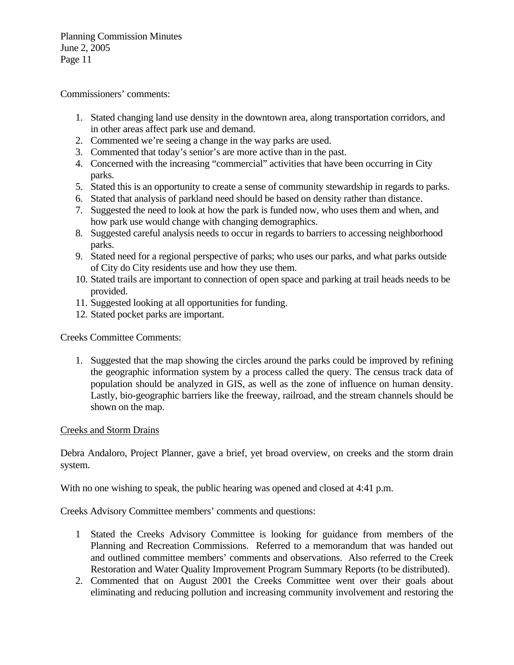Commissioners' comments:

- 1. Stated changing land use density in the downtown area, along transportation corridors, and in other areas affect park use and demand.
- 2. Commented we're seeing a change in the way parks are used.
- 3. Commented that today's senior's are more active than in the past.
- 4. Concerned with the increasing "commercial" activities that have been occurring in City parks.
- 5. Stated this is an opportunity to create a sense of community stewardship in regards to parks.
- 6. Stated that analysis of parkland need should be based on density rather than distance.
- 7. Suggested the need to look at how the park is funded now, who uses them and when, and how park use would change with changing demographics.
- 8. Suggested careful analysis needs to occur in regards to barriers to accessing neighborhood parks.
- 9. Stated need for a regional perspective of parks; who uses our parks, and what parks outside of City do City residents use and how they use them.
- 10. Stated trails are important to connection of open space and parking at trail heads needs to be provided.
- 11. Suggested looking at all opportunities for funding.
- 12. Stated pocket parks are important.

Creeks Committee Comments:

1. Suggested that the map showing the circles around the parks could be improved by refining the geographic information system by a process called the query. The census track data of population should be analyzed in GIS, as well as the zone of influence on human density. Lastly, bio-geographic barriers like the freeway, railroad, and the stream channels should be shown on the map.

# Creeks and Storm Drains

Debra Andaloro, Project Planner, gave a brief, yet broad overview, on creeks and the storm drain system.

With no one wishing to speak, the public hearing was opened and closed at 4:41 p.m.

Creeks Advisory Committee members' comments and questions:

- 1 Stated the Creeks Advisory Committee is looking for guidance from members of the Planning and Recreation Commissions. Referred to a memorandum that was handed out and outlined committee members' comments and observations. Also referred to the Creek Restoration and Water Quality Improvement Program Summary Reports (to be distributed).
- 2. Commented that on August 2001 the Creeks Committee went over their goals about eliminating and reducing pollution and increasing community involvement and restoring the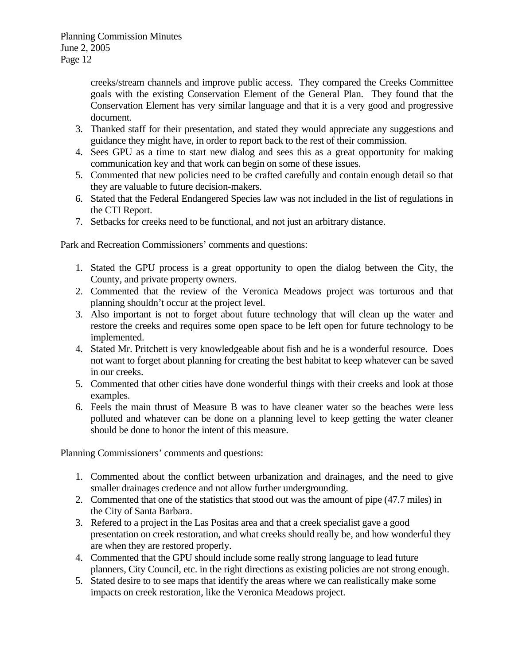creeks/stream channels and improve public access. They compared the Creeks Committee goals with the existing Conservation Element of the General Plan. They found that the Conservation Element has very similar language and that it is a very good and progressive document.

- 3. Thanked staff for their presentation, and stated they would appreciate any suggestions and guidance they might have, in order to report back to the rest of their commission.
- 4. Sees GPU as a time to start new dialog and sees this as a great opportunity for making communication key and that work can begin on some of these issues.
- 5. Commented that new policies need to be crafted carefully and contain enough detail so that they are valuable to future decision-makers.
- 6. Stated that the Federal Endangered Species law was not included in the list of regulations in the CTI Report.
- 7. Setbacks for creeks need to be functional, and not just an arbitrary distance.

Park and Recreation Commissioners' comments and questions:

- 1. Stated the GPU process is a great opportunity to open the dialog between the City, the County, and private property owners.
- 2. Commented that the review of the Veronica Meadows project was torturous and that planning shouldn't occur at the project level.
- 3. Also important is not to forget about future technology that will clean up the water and restore the creeks and requires some open space to be left open for future technology to be implemented.
- 4. Stated Mr. Pritchett is very knowledgeable about fish and he is a wonderful resource. Does not want to forget about planning for creating the best habitat to keep whatever can be saved in our creeks.
- 5. Commented that other cities have done wonderful things with their creeks and look at those examples.
- 6. Feels the main thrust of Measure B was to have cleaner water so the beaches were less polluted and whatever can be done on a planning level to keep getting the water cleaner should be done to honor the intent of this measure.

Planning Commissioners' comments and questions:

- 1. Commented about the conflict between urbanization and drainages, and the need to give smaller drainages credence and not allow further undergrounding.
- 2. Commented that one of the statistics that stood out was the amount of pipe (47.7 miles) in the City of Santa Barbara.
- 3. Refered to a project in the Las Positas area and that a creek specialist gave a good presentation on creek restoration, and what creeks should really be, and how wonderful they are when they are restored properly.
- 4. Commented that the GPU should include some really strong language to lead future planners, City Council, etc. in the right directions as existing policies are not strong enough.
- 5. Stated desire to to see maps that identify the areas where we can realistically make some impacts on creek restoration, like the Veronica Meadows project.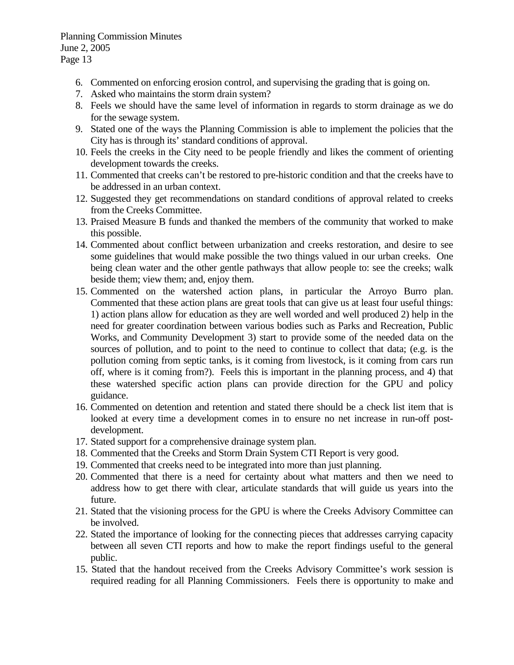- 6. Commented on enforcing erosion control, and supervising the grading that is going on.
- 7. Asked who maintains the storm drain system?
- 8. Feels we should have the same level of information in regards to storm drainage as we do for the sewage system.
- 9. Stated one of the ways the Planning Commission is able to implement the policies that the City has is through its' standard conditions of approval.
- 10. Feels the creeks in the City need to be people friendly and likes the comment of orienting development towards the creeks.
- 11. Commented that creeks can't be restored to pre-historic condition and that the creeks have to be addressed in an urban context.
- 12. Suggested they get recommendations on standard conditions of approval related to creeks from the Creeks Committee.
- 13. Praised Measure B funds and thanked the members of the community that worked to make this possible.
- 14. Commented about conflict between urbanization and creeks restoration, and desire to see some guidelines that would make possible the two things valued in our urban creeks. One being clean water and the other gentle pathways that allow people to: see the creeks; walk beside them; view them; and, enjoy them.
- 15. Commented on the watershed action plans, in particular the Arroyo Burro plan. Commented that these action plans are great tools that can give us at least four useful things: 1) action plans allow for education as they are well worded and well produced 2) help in the need for greater coordination between various bodies such as Parks and Recreation, Public Works, and Community Development 3) start to provide some of the needed data on the sources of pollution, and to point to the need to continue to collect that data; (e.g. is the pollution coming from septic tanks, is it coming from livestock, is it coming from cars run off, where is it coming from?). Feels this is important in the planning process, and 4) that these watershed specific action plans can provide direction for the GPU and policy guidance.
- 16. Commented on detention and retention and stated there should be a check list item that is looked at every time a development comes in to ensure no net increase in run-off postdevelopment.
- 17. Stated support for a comprehensive drainage system plan.
- 18. Commented that the Creeks and Storm Drain System CTI Report is very good.
- 19. Commented that creeks need to be integrated into more than just planning.
- 20. Commented that there is a need for certainty about what matters and then we need to address how to get there with clear, articulate standards that will guide us years into the future.
- 21. Stated that the visioning process for the GPU is where the Creeks Advisory Committee can be involved.
- 22. Stated the importance of looking for the connecting pieces that addresses carrying capacity between all seven CTI reports and how to make the report findings useful to the general public.
- 15. Stated that the handout received from the Creeks Advisory Committee's work session is required reading for all Planning Commissioners. Feels there is opportunity to make and